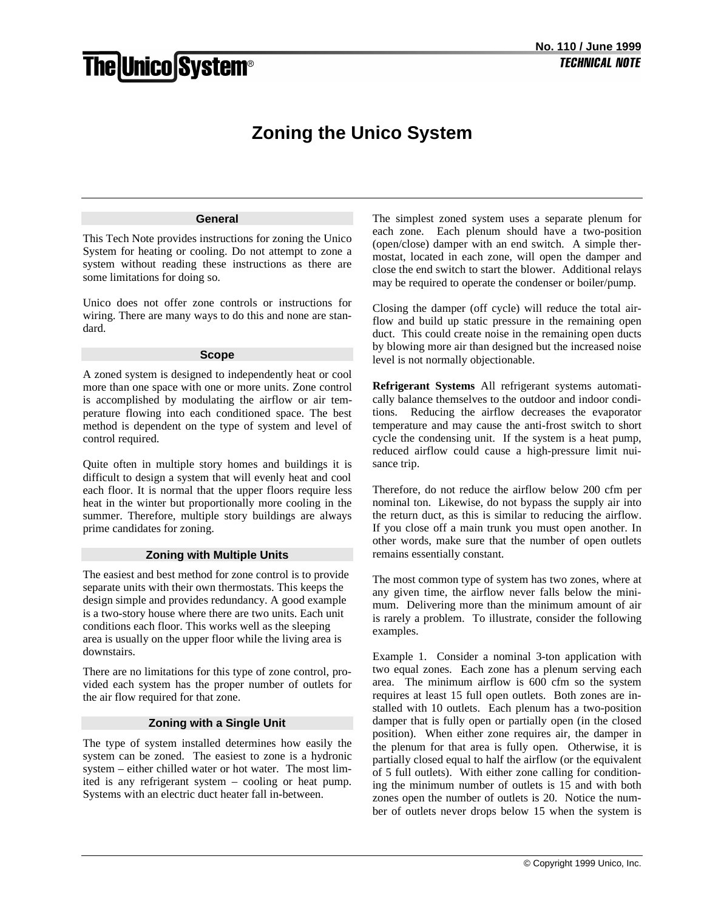# **The Unico System®**

# **Zoning the Unico System**

### **General**

This Tech Note provides instructions for zoning the Unico System for heating or cooling. Do not attempt to zone a system without reading these instructions as there are some limitations for doing so.

Unico does not offer zone controls or instructions for wiring. There are many ways to do this and none are standard.

#### **Scope**

A zoned system is designed to independently heat or cool more than one space with one or more units. Zone control is accomplished by modulating the airflow or air temperature flowing into each conditioned space. The best method is dependent on the type of system and level of control required.

Quite often in multiple story homes and buildings it is difficult to design a system that will evenly heat and cool each floor. It is normal that the upper floors require less heat in the winter but proportionally more cooling in the summer. Therefore, multiple story buildings are always prime candidates for zoning.

# **Zoning with Multiple Units**

The easiest and best method for zone control is to provide separate units with their own thermostats. This keeps the design simple and provides redundancy. A good example is a two-story house where there are two units. Each unit conditions each floor. This works well as the sleeping area is usually on the upper floor while the living area is downstairs.

There are no limitations for this type of zone control, provided each system has the proper number of outlets for the air flow required for that zone.

## **Zoning with a Single Unit**

The type of system installed determines how easily the system can be zoned. The easiest to zone is a hydronic system – either chilled water or hot water. The most limited is any refrigerant system – cooling or heat pump. Systems with an electric duct heater fall in-between.

The simplest zoned system uses a separate plenum for each zone. Each plenum should have a two-position (open/close) damper with an end switch. A simple thermostat, located in each zone, will open the damper and close the end switch to start the blower. Additional relays may be required to operate the condenser or boiler/pump.

Closing the damper (off cycle) will reduce the total airflow and build up static pressure in the remaining open duct. This could create noise in the remaining open ducts by blowing more air than designed but the increased noise level is not normally objectionable.

**Refrigerant Systems** All refrigerant systems automatically balance themselves to the outdoor and indoor conditions. Reducing the airflow decreases the evaporator temperature and may cause the anti-frost switch to short cycle the condensing unit. If the system is a heat pump, reduced airflow could cause a high-pressure limit nuisance trip.

Therefore, do not reduce the airflow below 200 cfm per nominal ton. Likewise, do not bypass the supply air into the return duct, as this is similar to reducing the airflow. If you close off a main trunk you must open another. In other words, make sure that the number of open outlets remains essentially constant.

The most common type of system has two zones, where at any given time, the airflow never falls below the minimum. Delivering more than the minimum amount of air is rarely a problem. To illustrate, consider the following examples.

Example 1. Consider a nominal 3-ton application with two equal zones. Each zone has a plenum serving each area. The minimum airflow is 600 cfm so the system requires at least 15 full open outlets. Both zones are installed with 10 outlets. Each plenum has a two-position damper that is fully open or partially open (in the closed position). When either zone requires air, the damper in the plenum for that area is fully open. Otherwise, it is partially closed equal to half the airflow (or the equivalent of 5 full outlets). With either zone calling for conditioning the minimum number of outlets is 15 and with both zones open the number of outlets is 20. Notice the number of outlets never drops below 15 when the system is